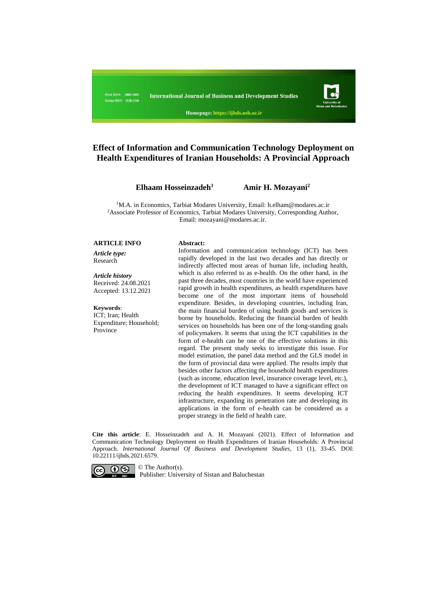

Homepage: https://ijbds.usb.ac.ir

# **Effect of Information and Communication Technology Deployment on Health Expenditures of Iranian Households: A Provincial Approach**

**Elhaam Hosseinzadeh<sup>1</sup>**

 **Amir H. Mozayani<sup>2</sup>**

<sup>1</sup>M.A. in Economics, Tarbiat Modares University, Email: [h.elham@modares.ac.ir](mailto:h.elham@modares.ac.ir) <sup>2</sup>Associate Professor of Economics, Tarbiat Modares University, Corresponding Author, Email[: mozayani@modares.ac.ir.](mailto:mozayani@modares.ac.ir)

#### **ARTICLE INFO Abstract:**

*Article type:* Research

*Article history* Received: 24.08.2021 Accepted: 13.12.2021

**Keywords**: ICT; Iran; Health Expenditure; Household; **Province** 

Information and communication technology (ICT) has been rapidly developed in the last two decades and has directly or indirectly affected most areas of human life, including health, which is also referred to as e-health. On the other hand, in the past three decades, most countries in the world have experienced rapid growth in health expenditures, as health expenditures have become one of the most important items of household expenditure. Besides, in developing countries, including Iran, the main financial burden of using health goods and services is borne by households. Reducing the financial burden of health services on households has been one of the long-standing goals of policymakers. It seems that using the ICT capabilities in the form of e-health can be one of the effective solutions in this regard. The present study seeks to investigate this issue. For model estimation, the panel data method and the GLS model in the form of provincial data were applied. The results imply that besides other factors affecting the household health expenditures (such as income, education level, insurance coverage level, etc.), the development of ICT managed to have a significant effect on reducing the health expenditures. It seems developing ICT infrastructure, expanding its penetration rate and developing its applications in the form of e-health can be considered as a proper strategy in the field of health care.

**Cite this article**: E. Hosseinzadeh and A. H. Mozayani (2021). Effect of Information and Communication Technology Deployment on Health Expenditures of Iranian Households: A Provincial Approach. *International Journal Of Business and Development Studies*, 13 (1), 33-45. DOI: 10.22111/ijbds.2021.6579.



Publisher: University of Sistan and Baluchestan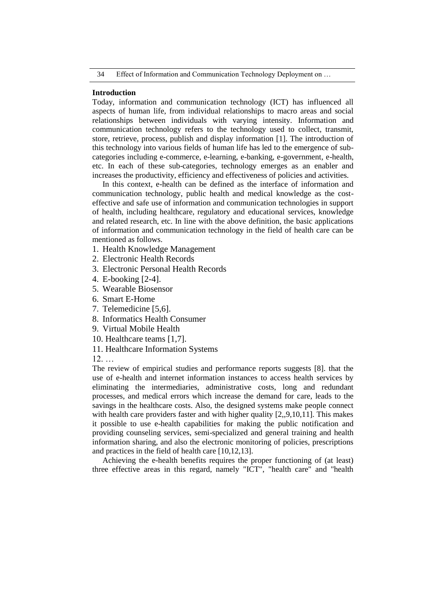#### **Introduction**

Today, information and communication technology (ICT) has influenced all aspects of human life, from individual relationships to macro areas and social relationships between individuals with varying intensity. Information and communication technology refers to the technology used to collect, transmit, store, retrieve, process, publish and display information [1]. The introduction of this technology into various fields of human life has led to the emergence of subcategories including e-commerce, e-learning, e-banking, e-government, e-health, etc. In each of these sub-categories, technology emerges as an enabler and increases the productivity, efficiency and effectiveness of policies and activities.

In this context, e-health can be defined as the interface of information and communication technology, public health and medical knowledge as the costeffective and safe use of information and communication technologies in support of health, including healthcare, regulatory and educational services, knowledge and related research, etc. In line with the above definition, the basic applications of information and communication technology in the field of health care can be mentioned as follows.

- 1. Health Knowledge Management
- 2. Electronic Health Records
- 3. Electronic Personal Health Records
- 4. E-booking [2-4].
- 5. Wearable Biosensor
- 6. Smart E-Home
- 7. Telemedicine [5,6].
- 8. Informatics Health Consumer
- 9. Virtual Mobile Health
- 10. Healthcare teams [1,7].
- 11. Healthcare Information Systems
- 12. …

The review of empirical studies and performance reports suggests [8]. that the use of e-health and internet information instances to access health services by eliminating the intermediaries, administrative costs, long and redundant processes, and medical errors which increase the demand for care, leads to the savings in the healthcare costs. Also, the designed systems make people connect with health care providers faster and with higher quality [2,,9,10,11]. This makes it possible to use e-health capabilities for making the public notification and providing counseling services, semi-specialized and general training and health information sharing, and also the electronic monitoring of policies, prescriptions and practices in the field of health care [10,12,13].

Achieving the e-health benefits requires the proper functioning of (at least) three effective areas in this regard, namely "ICT", "health care" and "health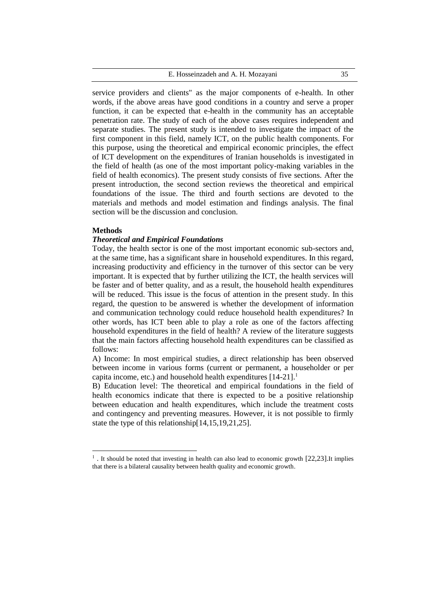#### E. Hosseinzadeh and A. H. Mozayani 35

service providers and clients" as the major components of e-health. In other words, if the above areas have good conditions in a country and serve a proper function, it can be expected that e-health in the community has an acceptable penetration rate. The study of each of the above cases requires independent and separate studies. The present study is intended to investigate the impact of the first component in this field, namely ICT, on the public health components. For this purpose, using the theoretical and empirical economic principles, the effect of ICT development on the expenditures of Iranian households is investigated in the field of health (as one of the most important policy-making variables in the field of health economics). The present study consists of five sections. After the present introduction, the second section reviews the theoretical and empirical foundations of the issue. The third and fourth sections are devoted to the materials and methods and model estimation and findings analysis. The final section will be the discussion and conclusion.

#### **Methods**

 $\overline{a}$ 

#### *Theoretical and Empirical Foundations*

Today, the health sector is one of the most important economic sub-sectors and, at the same time, has a significant share in household expenditures. In this regard, increasing productivity and efficiency in the turnover of this sector can be very important. It is expected that by further utilizing the ICT, the health services will be faster and of better quality, and as a result, the household health expenditures will be reduced. This issue is the focus of attention in the present study. In this regard, the question to be answered is whether the development of information and communication technology could reduce household health expenditures? In other words, has ICT been able to play a role as one of the factors affecting household expenditures in the field of health? A review of the literature suggests that the main factors affecting household health expenditures can be classified as follows:

A) Income: In most empirical studies, a direct relationship has been observed between income in various forms (current or permanent, a householder or per capita income, etc.) and household health expenditures  $[14-21]$ <sup>1</sup>

B) Education level: The theoretical and empirical foundations in the field of health economics indicate that there is expected to be a positive relationship between education and health expenditures, which include the treatment costs and contingency and preventing measures. However, it is not possible to firmly state the type of this relationship[14,15,19,21,25].

<sup>&</sup>lt;sup>1</sup>. It should be noted that investing in health can also lead to economic growth [22,23].It implies that there is a bilateral causality between health quality and economic growth.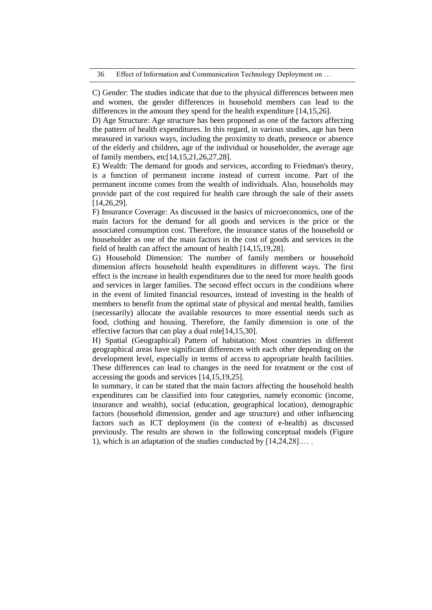C) Gender: The studies indicate that due to the physical differences between men and women, the gender differences in household members can lead to the differences in the amount they spend for the health expenditure [14,15,26].

D) Age Structure: Age structure has been proposed as one of the factors affecting the pattern of health expenditures. In this regard, in various studies, age has been measured in various ways, including the proximity to death, presence or absence of the elderly and children, age of the individual or householder, the average age of family members, etc[14,15,21,26,27,28].

E) Wealth: The demand for goods and services, according to Friedman's theory, is a function of permanent income instead of current income. Part of the permanent income comes from the wealth of individuals. Also, households may provide part of the cost required for health care through the sale of their assets [14,26,29].

F) Insurance Coverage: As discussed in the basics of microeconomics, one of the main factors for the demand for all goods and services is the price or the associated consumption cost. Therefore, the insurance status of the household or householder as one of the main factors in the cost of goods and services in the field of health can affect the amount of health [14,15,19,28].

G) Household Dimension: The number of family members or household dimension affects household health expenditures in different ways. The first effect is the increase in health expenditures due to the need for more health goods and services in larger families. The second effect occurs in the conditions where in the event of limited financial resources, instead of investing in the health of members to benefit from the optimal state of physical and mental health, families (necessarily) allocate the available resources to more essential needs such as food, clothing and housing. Therefore, the family dimension is one of the effective factors that can play a dual role[14,15,30].

H) Spatial (Geographical) Pattern of habitation: Most countries in different geographical areas have significant differences with each other depending on the development level, especially in terms of access to appropriate health facilities. These differences can lead to changes in the need for treatment or the cost of accessing the goods and services [14,15,19,25].

In summary, it can be stated that the main factors affecting the household health expenditures can be classified into four categories, namely economic (income, insurance and wealth), social (education, geographical location), demographic factors (household dimension, gender and age structure) and other influencing factors such as ICT deployment (in the context of e-health) as discussed previously. The results are shown in the following conceptual models (Figure 1), which is an adaptation of the studies conducted by [14,24,28].… .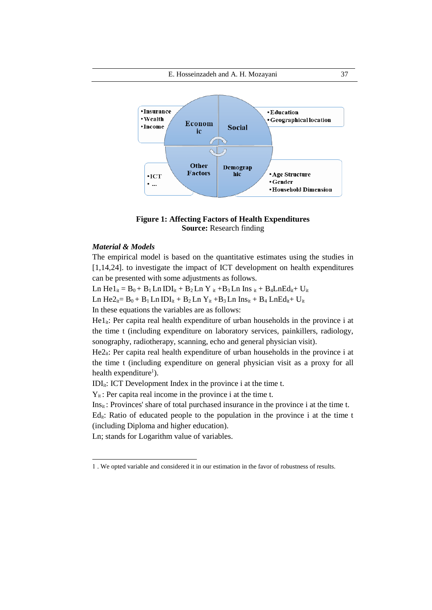

# **Figure 1: Affecting Factors of Health Expenditures Source:** Research finding

# *Material & Models*

 $\overline{a}$ 

The empirical model is based on the quantitative estimates using the studies in [1,14,24]. to investigate the impact of ICT development on health expenditures can be presented with some adjustments as follows.

Ln He $1_{it} = B_0 + B_1$  Ln IDI<sub>it</sub> + B<sub>2</sub> Ln Y<sub>it</sub> + B<sub>3</sub> Ln Ins <sub>it</sub> + B<sub>4</sub> Ln Ed<sub>it</sub> + U<sub>it</sub> Ln He $2_i = B_0 + B_1$  Ln IDI<sub>it</sub> + B<sub>2</sub> Ln Y<sub>it</sub> + B<sub>3</sub> Ln Ins<sub>it</sub> + B<sub>4</sub> LnEd<sub>it</sub> + U<sub>it</sub> In these equations the variables are as follows:

 $He1_{it}$ : Per capita real health expenditure of urban households in the province i at the time t (including expenditure on laboratory services, painkillers, radiology, sonography, radiotherapy, scanning, echo and general physician visit).

 $He2<sub>it</sub>$ : Per capita real health expenditure of urban households in the province i at the time t (including expenditure on general physician visit as a proxy for all health expenditure<sup>1</sup>).

IDI<sub>it</sub>: ICT Development Index in the province i at the time t.

 $Y_{it}$ : Per capita real income in the province i at the time t.

 $Ins_{it}$ : Provinces' share of total purchased insurance in the province i at the time t.

 $Ed_{it}$ : Ratio of educated people to the population in the province i at the time t (including Diploma and higher education).

Ln; stands for Logarithm value of variables.

<sup>1</sup> . We opted variable and considered it in our estimation in the favor of robustness of results.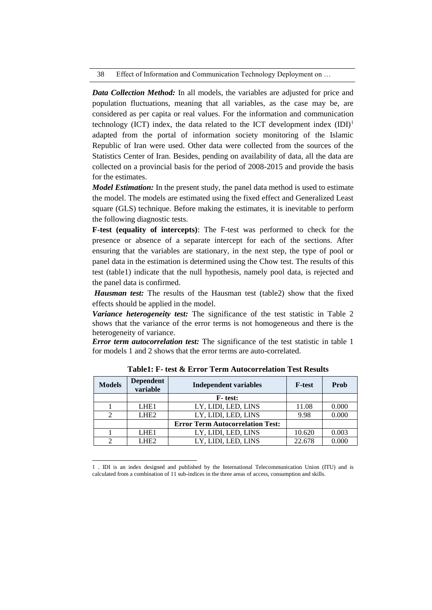38 Effect of Information and Communication Technology Deployment on …

*Data Collection Method:* In all models, the variables are adjusted for price and population fluctuations, meaning that all variables, as the case may be, are considered as per capita or real values. For the information and communication technology (ICT) index, the data related to the ICT development index  $(ID<sup>1</sup>$ adapted from the portal of information society monitoring of the Islamic Republic of Iran were used. Other data were collected from the sources of the Statistics Center of Iran. Besides, pending on availability of data, all the data are collected on a provincial basis for the period of 2008-2015 and provide the basis for the estimates.

*Model Estimation:* In the present study, the panel data method is used to estimate the model. The models are estimated using the fixed effect and Generalized Least square (GLS) technique. Before making the estimates, it is inevitable to perform the following diagnostic tests.

**F-test (equality of intercepts)**: The F-test was performed to check for the presence or absence of a separate intercept for each of the sections. After ensuring that the variables are stationary, in the next step, the type of pool or panel data in the estimation is determined using the Chow test. The results of this test (table1) indicate that the null hypothesis, namely pool data, is rejected and the panel data is confirmed.

*Hausman test:* The results of the Hausman test (table2) show that the fixed effects should be applied in the model.

*Variance heterogeneity test:* The significance of the test statistic in Table 2 shows that the variance of the error terms is not homogeneous and there is the heterogeneity of variance.

*Error term autocorrelation test:* The significance of the test statistic in table 1 for models 1 and 2 shows that the error terms are auto-correlated.

| <b>Models</b> | <b>Dependent</b><br>variable | <b>Independent variables</b>            | <b>F-test</b> | Prob  |
|---------------|------------------------------|-----------------------------------------|---------------|-------|
|               |                              | <b>F</b> -test:                         |               |       |
|               | LHE <sub>1</sub>             | LY, LIDI, LED, LINS                     | 11.08         | 0.000 |
|               | LHE <sub>2</sub>             | LY, LIDI, LED, LINS                     | 9.98          | 0.000 |
|               |                              | <b>Error Term Autocorrelation Test:</b> |               |       |
|               | LHE <sub>1</sub>             | LY, LIDI, LED, LINS                     | 10.620        | 0.003 |
|               | LHE <sub>2</sub>             | LY, LIDI, LED, LINS                     | 22.678        | 0.000 |

**Table1: F- test & Error Term Autocorrelation Test Results**

 $\overline{a}$ 

<sup>1</sup> . IDI is an index designed and published by the International Telecommunication Union (ITU) and is calculated from a combination of 11 sub-indices in the three areas of access, consumption and skills.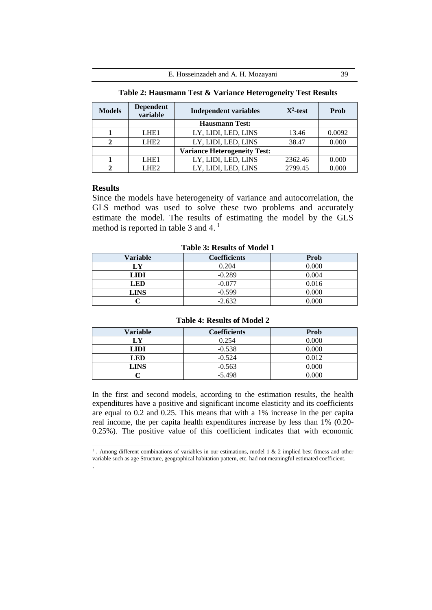| <b>Models</b> | <b>Dependent</b><br>variable | <b>Independent variables</b>        | $X^2$ -test | Prob   |
|---------------|------------------------------|-------------------------------------|-------------|--------|
|               |                              | <b>Hausmann Test:</b>               |             |        |
|               | LHE <sub>1</sub>             | LY, LIDI, LED, LINS                 | 13.46       | 0.0092 |
|               | LHE <sub>2</sub>             | LY, LIDI, LED, LINS                 | 38.47       | 0.000  |
|               |                              | <b>Variance Heterogeneity Test:</b> |             |        |
|               | LHE <sub>1</sub>             | LY, LIDI, LED, LINS                 | 2362.46     | 0.000  |
|               | LHE2                         | LY, LIDI, LED, LINS                 | 2799.45     | 0.000  |

**Table 2: Hausmann Test & Variance Heterogeneity Test Results**

# **Results**

Since the models have heterogeneity of variance and autocorrelation, the GLS method was used to solve these two problems and accurately estimate the model. The results of estimating the model by the GLS method is reported in table 3 and 4.<sup>1</sup>

**Table 3: Results of Model 1**

| Variable    | <b>Coefficients</b> | Prob  |
|-------------|---------------------|-------|
| LY          | 0.204               | 0.000 |
| <b>LIDI</b> | $-0.289$            | 0.004 |
| LED         | $-0.077$            | 0.016 |
| <b>LINS</b> | $-0.599$            | 0.000 |
|             | $-2.632$            | ስ ስስስ |

### **Table 4: Results of Model 2**

| Variable    | <b>Coefficients</b> | Prob  |
|-------------|---------------------|-------|
| LY          | 0.254               | 0.000 |
| LIDI        | $-0.538$            | 0.000 |
| LED         | $-0.524$            | 0.012 |
| <b>LINS</b> | $-0.563$            | 0.000 |
|             | $-5.498$            | 0.000 |

In the first and second models, according to the estimation results, the health expenditures have a positive and significant income elasticity and its coefficients are equal to 0.2 and 0.25. This means that with a 1% increase in the per capita real income, the per capita health expenditures increase by less than 1% (0.20- 0.25%). The positive value of this coefficient indicates that with economic

 1 . Among different combinations of variables in our estimations, model 1 & 2 implied best fitness and other variable such as age Structure, geographical habitation pattern, etc. had not meaningful estimated coefficient. .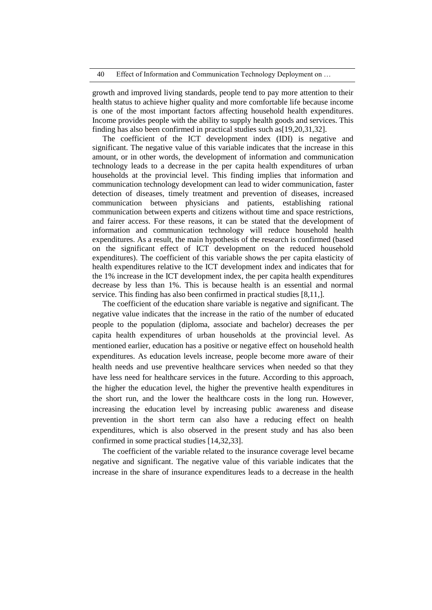growth and improved living standards, people tend to pay more attention to their health status to achieve higher quality and more comfortable life because income is one of the most important factors affecting household health expenditures. Income provides people with the ability to supply health goods and services. This finding has also been confirmed in practical studies such as[19,20,31,32].

The coefficient of the ICT development index (IDI) is negative and significant. The negative value of this variable indicates that the increase in this amount, or in other words, the development of information and communication technology leads to a decrease in the per capita health expenditures of urban households at the provincial level. This finding implies that information and communication technology development can lead to wider communication, faster detection of diseases, timely treatment and prevention of diseases, increased communication between physicians and patients, establishing rational communication between experts and citizens without time and space restrictions, and fairer access. For these reasons, it can be stated that the development of information and communication technology will reduce household health expenditures. As a result, the main hypothesis of the research is confirmed (based on the significant effect of ICT development on the reduced household expenditures). The coefficient of this variable shows the per capita elasticity of health expenditures relative to the ICT development index and indicates that for the 1% increase in the ICT development index, the per capita health expenditures decrease by less than 1%. This is because health is an essential and normal service. This finding has also been confirmed in practical studies [8,11,].

The coefficient of the education share variable is negative and significant. The negative value indicates that the increase in the ratio of the number of educated people to the population (diploma, associate and bachelor) decreases the per capita health expenditures of urban households at the provincial level. As mentioned earlier, education has a positive or negative effect on household health expenditures. As education levels increase, people become more aware of their health needs and use preventive healthcare services when needed so that they have less need for healthcare services in the future. According to this approach, the higher the education level, the higher the preventive health expenditures in the short run, and the lower the healthcare costs in the long run. However, increasing the education level by increasing public awareness and disease prevention in the short term can also have a reducing effect on health expenditures, which is also observed in the present study and has also been confirmed in some practical studies [14,32,33].

The coefficient of the variable related to the insurance coverage level became negative and significant. The negative value of this variable indicates that the increase in the share of insurance expenditures leads to a decrease in the health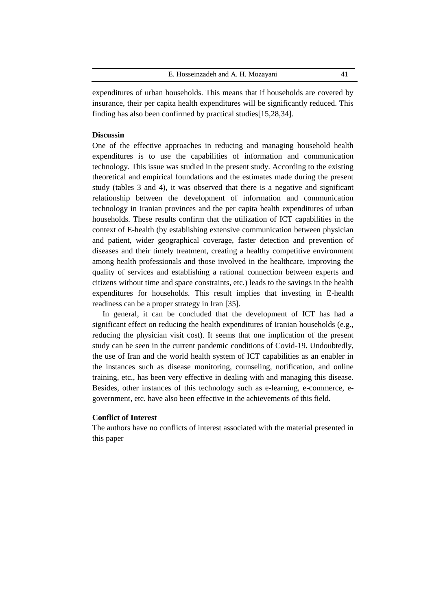|  | E. Hosseinzadeh and A. H. Mozayani |  |  |  |  |
|--|------------------------------------|--|--|--|--|
|--|------------------------------------|--|--|--|--|

expenditures of urban households. This means that if households are covered by insurance, their per capita health expenditures will be significantly reduced. This finding has also been confirmed by practical studies[15,28,34].

# **Discussin**

One of the effective approaches in reducing and managing household health expenditures is to use the capabilities of information and communication technology. This issue was studied in the present study. According to the existing theoretical and empirical foundations and the estimates made during the present study (tables 3 and 4), it was observed that there is a negative and significant relationship between the development of information and communication technology in Iranian provinces and the per capita health expenditures of urban households. These results confirm that the utilization of ICT capabilities in the context of E-health (by establishing extensive communication between physician and patient, wider geographical coverage, faster detection and prevention of diseases and their timely treatment, creating a healthy competitive environment among health professionals and those involved in the healthcare, improving the quality of services and establishing a rational connection between experts and citizens without time and space constraints, etc.) leads to the savings in the health expenditures for households. This result implies that investing in E-health readiness can be a proper strategy in Iran [35].

In general, it can be concluded that the development of ICT has had a significant effect on reducing the health expenditures of Iranian households (e.g., reducing the physician visit cost). It seems that one implication of the present study can be seen in the current pandemic conditions of Covid-19. Undoubtedly, the use of Iran and the world health system of ICT capabilities as an enabler in the instances such as disease monitoring, counseling, notification, and online training, etc., has been very effective in dealing with and managing this disease. Besides, other instances of this technology such as e-learning, e-commerce, egovernment, etc. have also been effective in the achievements of this field.

#### **Conflict of Interest**

The authors have no conflicts of interest associated with the material presented in this paper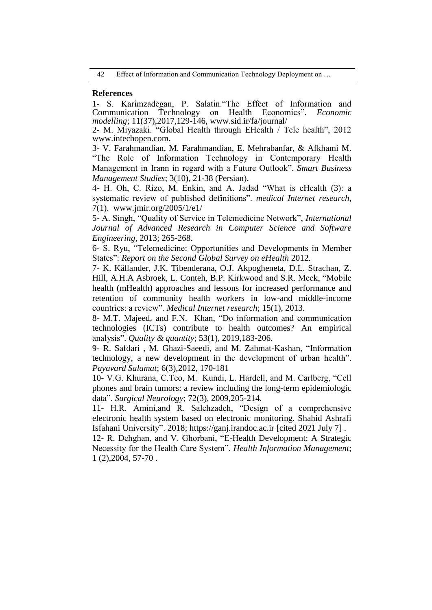42 Effect of Information and Communication Technology Deployment on ...

# **References**

1- S. Karimzadegan, P. Salatin."The Effect of Information and Communication Technology on Health Economics". *Economic modelling*; 11(37),2017,129-146, www.sid.ir/fa/journal/

2- M. Miyazaki. "Global Health through EHealth / Tele health", 2012 [www.intechopen.com.](http://www.intechopen.com/)

3- V. Farahmandian, M. Farahmandian, E. Mehrabanfar, & Afkhami M. "The Role of Information Technology in Contemporary Health Management in Irann in regard with a Future Outlook". *Smart Business Management Studies*; 3(10), 21-38 (Persian).

4- H. Oh, C. Rizo, M. Enkin, and A. Jadad "What is eHealth (3): a systematic review of published definitions". *medical Internet research*, 7(1). www.jmir.org/2005/1/e1/

5- A. Singh, "Quality of Service in Telemedicine Network", *International Journal of Advanced Research in Computer Science and Software Engineering*, 2013; 265-268.

6- S. Ryu, "Telemedicine: Opportunities and Developments in Member States": *Report on the Second Global Survey on eHealth* 2012.

7- K. Källander, J.K. Tibenderana, O.J. Akpogheneta, D.L. Strachan, Z. Hill, A.H.A Asbroek, L. Conteh, B.P. Kirkwood and S.R. Meek, "Mobile health (mHealth) approaches and lessons for increased performance and retention of community health workers in low-and middle-income countries: a review". *Medical Internet research*; 15(1), 2013.

8- M.T. Majeed, and F.N. Khan, "Do information and communication technologies (ICTs) contribute to health outcomes? An empirical analysis". *Quality & quantity*; 53(1), 2019,183-206.

9- R. Safdari , M. Ghazi-Saeedi, and M. Zahmat-Kashan, "Information technology, a new development in the development of urban health". *Payavard Salamat*; 6(3),2012, 170-181

10- V.G. Khurana, C.Teo, M. Kundi, L. Hardell, and M. Carlberg, "Cell phones and brain tumors: a review including the long-term epidemiologic data". *Surgical Neurology*; 72(3), 2009,205-214.

11- H.R. Amini,and R. Salehzadeh, "Design of a comprehensive electronic health system based on electronic monitoring. Shahid Ashrafi Isfahani University". 2018[;](https://ganj.irandoc.ac.ir/) [https://ganj.irandoc.ac.ir](https://ganj.irandoc.ac.ir/) [cited 2021 July 7] .

12- R. Dehghan, and V. Ghorbani, "E-Health Development: A Strategic Necessity for the Health Care System". *Health Information Management*; 1 (2),2004, 57-70 .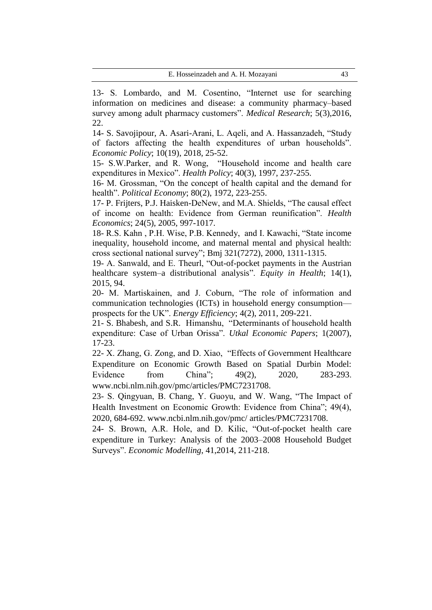13- S. Lombardo, and M. Cosentino, "Internet use for searching information on medicines and disease: a community pharmacy–based survey among adult pharmacy customers". *Medical Research*; 5(3),2016, 22.

14- S. Savojipour, A. Asari-Arani, L. Aqeli, and A. Hassanzadeh, "Study of factors affecting the health expenditures of urban households". *Economic Policy*; 10(19), 2018, 25-52.

15- S.W.Parker, and R. Wong, "Household income and health care expenditures in Mexico". *Health Policy*; 40(3), 1997, 237-255.

16- M. Grossman, "On the concept of health capital and the demand for health". *Political Economy*; 80(2), 1972, 223-255.

17- P. Frijters, P.J. Haisken-DeNew, and M.A. Shields, "The causal effect of income on health: Evidence from German reunification". *Health Economics*; 24(5), 2005, 997-1017.

18- R.S. Kahn , P.H. Wise, P.B. Kennedy, and I. Kawachi, "State income inequality, household income, and maternal mental and physical health: cross sectional national survey"; Bmj 321(7272), 2000, 1311-1315.

19- A. Sanwald, and E. Theurl, "Out-of-pocket payments in the Austrian healthcare system–a distributional analysis". *Equity in Health*; 14(1), 2015, 94.

20- M. Martiskainen, and J. Coburn, "The role of information and communication technologies (ICTs) in household energy consumption prospects for the UK". *Energy Efficiency*; 4(2), 2011, 209-221.

21- S. Bhabesh, and S.R. Himanshu, "Determinants of household health expenditure: Case of Urban Orissa". *Utkal Economic Papers*; 1(2007), 17-23.

22- X. Zhang, G. Zong, and D. Xiao, "Effects of Government Healthcare Expenditure on Economic Growth Based on Spatial Durbin Model: Evidence from China"; 49(2), 2020, 283-293. www.ncbi.nlm.nih.gov/pmc/articles/PMC7231708.

23- S. Qingyuan, B. Chang, Y. Guoyu, and W. Wang, "The Impact of Health Investment on Economic Growth: Evidence from China"; 49(4), 2020, 684-692. [www.ncbi.nlm.nih.gov/pmc/](http://www.ncbi.nlm.nih.gov/pmc/) articles/PMC7231708.

24- S. Brown, A.R. Hole, and D. Kilic, "Out-of-pocket health care expenditure in Turkey: Analysis of the 2003–2008 Household Budget Surveys". *Economic Modelling*, 41,2014, 211-218.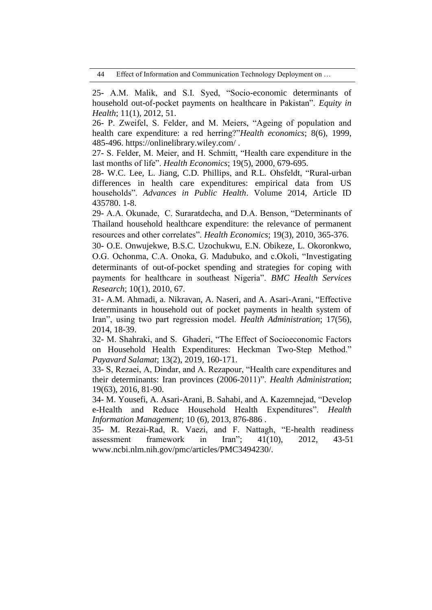44 Effect of Information and Communication Technology Deployment on …

25- A.M. Malik, and S.I. Syed, "Socio-economic determinants of household out-of-pocket payments on healthcare in Pakistan". *Equity in Health*; 11(1), 2012, 51.

26- P. Zweifel, S. Felder, and M. Meiers, "Ageing of population and health care expenditure: a red herring?"*Health economics*; 8(6), 1999, 485-496. https://onlinelibrary.wiley.com/ .

27- S. Felder, M. Meier, and H. Schmitt, "Health care expenditure in the last months of life". *Health Economics*; 19(5), 2000, 679-695.

28- W.C. Lee, L. Jiang, C.D. Phillips, and R.L. Ohsfeldt, "Rural-urban differences in health care expenditures: empirical data from US households". *Advances in Public Health*. Volume 2014, Article ID 435780. 1-8.

29- A.A. Okunade, C. Suraratdecha, and D.A. Benson, "Determinants of Thailand household healthcare expenditure: the relevance of permanent resources and other correlates". *Health Economics*; 19(3), 2010, 365-376.

30- O.E. Onwujekwe, B.S.C. Uzochukwu, E.N. Obikeze, L. Okoronkwo, O.G. Ochonma, C.A. Onoka, G. Madubuko, and c.Okoli, "Investigating determinants of out-of-pocket spending and strategies for coping with payments for healthcare in southeast Nigeria". *BMC Health Services Research*; 10(1), 2010, 67.

31- A.M. Ahmadi, a. Nikravan, A. Naseri, and A. Asari-Arani, "Effective determinants in household out of pocket payments in health system of Iran", using two part regression model. *Health Administration*; 17(56), 2014, 18-39.

32- M. Shahraki, and S. Ghaderi, "The Effect of Socioeconomic Factors on Household Health Expenditures: Heckman Two-Step Method." *Payavard Salamat*; 13(2), 2019, 160-171.

33- S, Rezaei, A, Dindar, and A. Rezapour, "Health care expenditures and their determinants: Iran provinces (2006-2011)". *Health Administration*; 19(63), 2016, 81-90.

34- M. Yousefi, A. Asari-Arani, B. Sahabi, and A. Kazemnejad, "Develop e-Health and Reduce Household Health Expenditures". *Health Information Management*; 10 (6), 2013, 876-886 .

35- M. Rezai-Rad, R. Vaezi, and F. Nattagh, "E-health readiness assessment framework in Iran"; 41(10), 2012, 43-51 www.ncbi.nlm.nih.gov/pmc/articles/PMC3494230/.